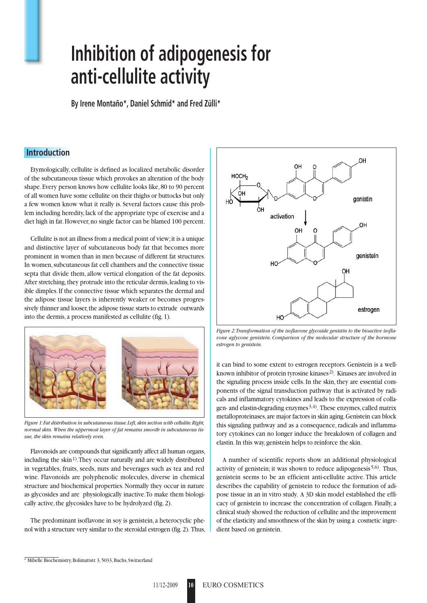# **Inhibition of adipogenesis for anti-cellulite activity**

**By Irene Montaño\*, Daniel Schmid\* and Fred Zülli\***

#### **Introduction**

Etymologically, cellulite is defined as localized metabolic disorder of the subcutaneous tissue which provokes an alteration of the body shape. Every person knows how cellulite looks like, 80 to 90 percent of all women have some cellulite on their thighs or buttocks but only a few women know what it really is. Several factors cause this problem including heredity, lack of the appropriate type of exercise and a diet high in fat. However, no single factor can be blamed 100 percent.

Cellulite is not an illness from a medical point of view; it is a unique and distinctive layer of subcutaneous body fat that becomes more prominent in women than in men because of different fat structures. In women, subcutaneous fat cell chambers and the connective tissue septa that divide them, allow vertical elongation of the fat deposits. After stretching, they protrude into the reticular dermis, leading to visible dimples. If the connective tissue which separates the dermal and the adipose tissue layers is inherently weaker or becomes progressively thinner and looser, the adipose tissue starts to extrude outwards into the dermis, a process manifested as cellulite (fig. 1).



*Figure 1: Fat distribution in subcutaneous tissue. Left, skin section with cellulite. Right, normal skin. When the uppermost layer of fat remains smooth in subcutaneous tissue, the skin remains relatively even.*

Flavonoids are compounds that significantly affect all human organs, including the skin<sup>1)</sup>. They occur naturally and are widely distributed in vegetables, fruits, seeds, nuts and beverages such as tea and red wine. Flavonoids are polyphenolic molecules, diverse in chemical structure and biochemical properties. Normally they occur in nature as glycosides and are physiologically inactive. To make them biologically active, the glycosides have to be hydrolyzed (fig. 2).

The predominant isoflavone in soy is genistein, a heterocyclic phenol with a structure very similar to the steroidal estrogen (fig. 2). Thus,



*Figure 2: Transformation of the isoflavone glycoside genistin to the bioactive isoflavone aglycone genistein. Comparison of the molecular structure of the hormone estrogen to genistein.*

it can bind to some extent to estrogen receptors. Genistein is a wellknown inhibitor of protein tyrosine kinases<sup>2)</sup>. Kinases are involved in the signaling process inside cells. In the skin, they are essential components of the signal transduction pathway that is activated by radicals and inflammatory cytokines and leads to the expression of collagen- and elastin-degrading enzymes  $3,4$ ). These enzymes, called matrix metalloproteinases, are major factors in skin aging. Genistein can block this signaling pathway and as a consequence, radicals and inflammatory cytokines can no longer induce the breakdown of collagen and elastin. In this way, genistein helps to reinforce the skin.

A number of scientific reports show an additional physiological activity of genistein; it was shown to reduce adipogenesis 5,6). Thus, genistein seems to be an efficient anti-cellulite active. This article describes the capability of genistein to reduce the formation of adipose tissue in an in vitro study. A 3D skin model established the efficacy of genistein to increase the concentration of collagen. Finally, a clinical study showed the reduction of cellulite and the improvement of the elasticity and smoothness of the skin by using a cosmetic ingredient based on genistein.

<sup>\*</sup> Mibelle Biochemistry, Bolimattstr. 3, 5033, Buchs, Switzerland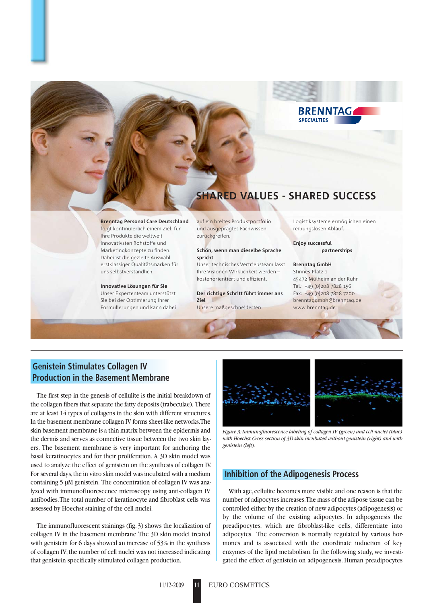

## **SHARED VALUES - SHARED SUCCESS**

**Brenntag Personal Care Deutschland** folgt kontinuierlich einem Ziel: für Ihre Produkte die weltweit innovativsten Rohstoffe und Marketingkonzepte zu finden. Dabei ist die gezielte Auswahl erstklassiger Qualitätsmarken für uns selbstverständlich.

#### **Innovative Lösungen für Sie**

Unser Expertenteam unterstützt Sie bei der Optimierung Ihrer Formulierungen und kann dabei auf ein breites Produktportfolio und ausgeprägtes Fachwissen zurückgreifen.

#### **Schön, wenn man dieselbe Sprache spricht**

Unser technisches Vertriebsteam lässt Ihre Visionen Wirklichkeit werden – kostenorientiert und effizient.

**Der richtige Schritt führt immer ans Ziel**

Unsere maßgeschneiderten

Logistiksysteme ermöglichen einen reibungslosen Ablauf.

**Enjoy successful partnerships**

**Brenntag GmbH** Stinnes-Platz 1 45472 Mülheim an der Ruhr Tel.: +49 (0)208 7828 156 Fax: +49 (0)208 7828 7200 brenntaggmbh@brenntag.de www.brenntag.de

### **Genistein Stimulates Collagen IV Production in the Basement Membrane**

The first step in the genesis of cellulite is the initial breakdown of the collagen fibers that separate the fatty deposits (trabeculae). There are at least 14 types of collagens in the skin with different structures. In the basement membrane collagen IV forms sheet-like networks. The skin basement membrane is a thin matrix between the epidermis and the dermis and serves as connective tissue between the two skin layers. The basement membrane is very important for anchoring the basal keratinocytes and for their proliferation. A 3D skin model was used to analyze the effect of genistein on the synthesis of collagen IV. For several days, the in vitro skin model was incubated with a medium containing 5 µM genistein. The concentration of collagen IV was analyzed with immunofluorescence microscopy using anti-collagen IV antibodies. The total number of keratinocyte and fibroblast cells was assessed by Hoechst staining of the cell nuclei.

The immunofluorescent stainings (fig. 3) shows the localization of collagen IV in the basement membrane. The 3D skin model treated with genistein for 6 days showed an increase of 53% in the synthesis of collagen IV; the number of cell nuclei was not increased indicating that genistein specifically stimulated collagen production.



*Figure 3: Immunofluorescence labeling of collagen IV (green) and cell nuclei (blue) with Hoechst. Cross section of 3D skin incubated without genistein (right) and with genistein (left).*

#### **Inhibition of the Adipogenesis Process**

With age, cellulite becomes more visible and one reason is that the number of adipocytes increases. The mass of the adipose tissue can be controlled either by the creation of new adipocytes (adipogenesis) or by the volume of the existing adipocytes. In adipogenesis the preadipocytes, which are fibroblast-like cells, differentiate into adipocytes. The conversion is normally regulated by various hormones and is associated with the coordinate induction of key enzymes of the lipid metabolism. In the following study, we investigated the effect of genistein on adipogenesis. Human preadipocytes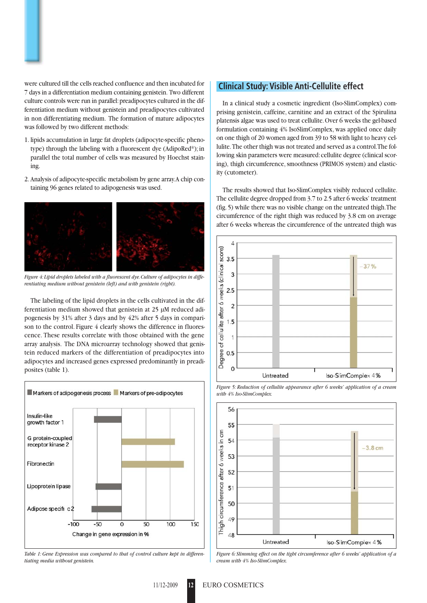were cultured till the cells reached confluence and then incubated for 7 days in a differentiation medium containing genistein. Two different culture controls were run in parallel: preadipocytes cultured in the differentiation medium without genistein and preadipocytes cultivated in non differentiating medium. The formation of mature adipocytes was followed by two different methods:

- 1. lipids accumulation in large fat droplets (adipocyte-specific phenotype) through the labeling with a fluorescent dye (AdipoRed®); in parallel the total number of cells was measured by Hoechst staining.
- 2. Analysis of adipocyte-specific metabolism by gene array. A chip containing 96 genes related to adipogenesis was used.



*Figure 4: Lipid droplets labeled with a fluorescent dye. Culture of adipocytes in differentiating medium without genistein (left) and with genistein (right).* 

The labeling of the lipid droplets in the cells cultivated in the differentiation medium showed that genistein at 25 µM reduced adipogenesis by 31% after 3 days and by 42% after 5 days in comparison to the control. Figure 4 clearly shows the difference in fluorescence. These results correlate with those obtained with the gene array analysis. The DNA microarray technology showed that genistein reduced markers of the differentiation of preadipocytes into adipocytes and increased genes expressed predominantly in preadiposites (table 1).



*Table 1: Gene Expression was compared to that of control culture kept in differentiating media without genistein.*

#### **Clinical Study: Visible Anti-Cellulite effect**

In a clinical study a cosmetic ingredient (Iso-SlimComplex) comprising genistein, caffeine, carnitine and an extract of the Spirulina platensis algae was used to treat cellulite. Over 6 weeks the gel-based formulation containing 4% IsoSlimComplex, was applied once daily on one thigh of 20 women aged from 39 to 58 with light to heavy cellulite. The other thigh was not treated and served as a control. The following skin parameters were measured: cellulite degree (clinical scoring), thigh circumference, smoothness (PRIMOS system) and elasticity (cutometer).

The results showed that Iso-SlimComplex visibly reduced cellulite. The cellulite degree dropped from 3.7 to 2.5 after 6 weeks' treatment (fig. 5) while there was no visible change on the untreated thigh. The circumference of the right thigh was reduced by 3.8 cm on average after 6 weeks whereas the circumference of the untreated thigh was







*Figure 6: Slimming effect on the tight circumference after 6 weeks' application of a cream with 4% Iso-SlimComplex.*